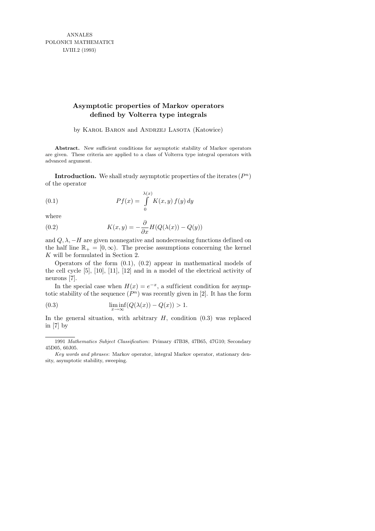ANNALES POLONICI MATHEMATICI LVIII.2 (1993)

## **Asymptotic properties of Markov operators defined by Volterra type integrals**

by KAROL BARON and ANDRZEJ LASOTA (Katowice)

**Abstract.** New sufficient conditions for asymptotic stability of Markov operators are given. These criteria are applied to a class of Volterra type integral operators with advanced argument.

**Introduction.** We shall study asymptotic properties of the iterates  $(P^n)$ of the operator

(0.1) 
$$
Pf(x) = \int_{0}^{\lambda(x)} K(x, y) f(y) dy
$$

where

(0.2) 
$$
K(x,y) = -\frac{\partial}{\partial x}H(Q(\lambda(x)) - Q(y))
$$

and  $Q, \lambda, -H$  are given nonnegative and nondecreasing functions defined on the half line  $\mathbb{R}_+ = [0, \infty)$ . The precise assumptions concerning the kernel K will be formulated in Section 2.

Operators of the form (0.1), (0.2) appear in mathematical models of the cell cycle [5], [10], [11], [12] and in a model of the electrical activity of neurons [7].

In the special case when  $H(x) = e^{-x}$ , a sufficient condition for asymptotic stability of the sequence  $(P^n)$  was recently given in [2]. It has the form

(0.3) 
$$
\liminf_{x \to \infty} (Q(\lambda(x)) - Q(x)) > 1.
$$

In the general situation, with arbitrary  $H$ , condition  $(0.3)$  was replaced in [7] by

<sup>1991</sup> *Mathematics Subject Classification*: Primary 47B38, 47B65, 47G10; Secondary 45D05, 60J05.

*Key words and phrases*: Markov operator, integral Markov operator, stationary density, asymptotic stability, sweeping.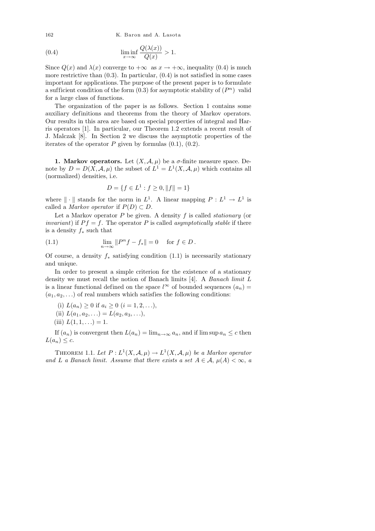162 K. Baron and A. Lasota

(0.4) 
$$
\liminf_{x \to \infty} \frac{Q(\lambda(x))}{Q(x)} > 1.
$$

Since  $Q(x)$  and  $\lambda(x)$  converge to  $+\infty$  as  $x \to +\infty$ , inequality (0.4) is much more restrictive than  $(0.3)$ . In particular,  $(0.4)$  is not satisfied in some cases important for applications. The purpose of the present paper is to formulate a sufficient condition of the form  $(0.3)$  for asymptotic stability of  $(P<sup>n</sup>)$  valid for a large class of functions.

The organization of the paper is as follows. Section 1 contains some auxiliary definitions and theorems from the theory of Markov operators. Our results in this area are based on special properties of integral and Harris operators [1]. In particular, our Theorem 1.2 extends a recent result of J. Malczak [8]. In Section 2 we discuss the asymptotic properties of the iterates of the operator  $P$  given by formulas  $(0.1)$ ,  $(0.2)$ .

**1. Markov operators.** Let  $(X, \mathcal{A}, \mu)$  be a  $\sigma$ -finite measure space. Denote by  $D = D(X, \mathcal{A}, \mu)$  the subset of  $L^1 = L^1(X, \mathcal{A}, \mu)$  which contains all (normalized) densities, i.e.

$$
D = \{ f \in L^1 : f \ge 0, ||f|| = 1 \}
$$

where  $\|\cdot\|$  stands for the norm in  $L^1$ . A linear mapping  $P: L^1 \to L^1$  is called a *Markov operator* if  $P(D) \subset D$ .

Let a Markov operator  $P$  be given. A density  $f$  is called *stationary* (or *invariant*) if  $P f = f$ . The operator P is called *asymptotically stable* if there is a density  $f_*$  such that

(1.1) 
$$
\lim_{n \to \infty} ||P^n f - f_*|| = 0 \text{ for } f \in D.
$$

Of course, a density  $f_*$  satisfying condition (1.1) is necessarily stationary and unique.

In order to present a simple criterion for the existence of a stationary density we must recall the notion of Banach limits [4]. A Banach limit L is a linear functional defined on the space  $l^{\infty}$  of bounded sequences  $(a_n)$  =  $(a_1, a_2, \ldots)$  of real numbers which satisfies the following conditions:

(i)  $L(a_n) \geq 0$  if  $a_i \geq 0$   $(i = 1, 2, \ldots),$ 

(ii) 
$$
L(a_1, a_2,...) = L(a_2, a_3,...),
$$

(iii)  $L(1, 1, ...) = 1$ .

If  $(a_n)$  is convergent then  $L(a_n) = \lim_{n \to \infty} a_n$ , and if  $\limsup a_n \leq c$  then  $L(a_n) \leq c$ .

THEOREM 1.1. Let  $P: L^1(X, \mathcal{A}, \mu) \to L^1(X, \mathcal{A}, \mu)$  be a Markov operator and L a Banach limit. Assume that there exists a set  $A \in \mathcal{A}$ ,  $\mu(A) < \infty$ , a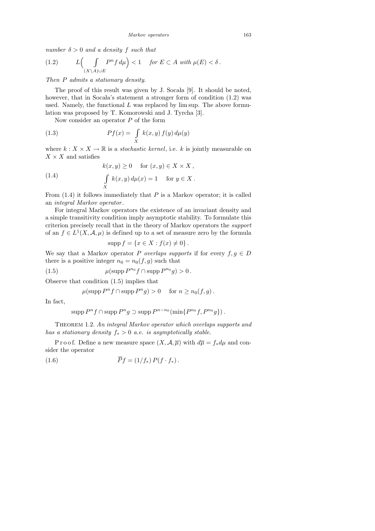number  $\delta > 0$  and a density f such that

(1.2) 
$$
L\left(\int\limits_{(X\setminus A)\cup E} P^n f \, d\mu\right) < 1 \quad \text{for } E \subset A \text{ with } \mu(E) < \delta.
$$

Then P admits a stationary density.

The proof of this result was given by J. Socala [9]. It should be noted, however, that in Socala's statement a stronger form of condition  $(1.2)$  was used. Namely, the functional  $L$  was replaced by lim sup. The above formulation was proposed by T. Komorowski and J. Tyrcha [3].

Now consider an operator  $P$  of the form

(1.3) 
$$
Pf(x) = \int\limits_X k(x, y) f(y) d\mu(y)
$$

where  $k: X \times X \to \mathbb{R}$  is a *stochastic kernel*, i.e. k is jointly measurable on  $X\times X$  and satisfies

(1.4) 
$$
k(x, y) \ge 0 \quad \text{for } (x, y) \in X \times X,
$$

$$
\int_{X} k(x, y) d\mu(x) = 1 \quad \text{for } y \in X.
$$

From  $(1.4)$  it follows immediately that  $P$  is a Markov operator; it is called an integral Markov operator .

For integral Markov operators the existence of an invariant density and a simple transitivity condition imply asymptotic stability. To formulate this criterion precisely recall that in the theory of Markov operators the support of an  $f \in L^1(X, \mathcal{A}, \mu)$  is defined up to a set of measure zero by the formula

$$
\operatorname{supp} f = \{ x \in X : f(x) \neq 0 \} .
$$

We say that a Markov operator P overlaps supports if for every  $f, g \in D$ there is a positive integer  $n_0 = n_0(f, g)$  such that

(1.5)  $\mu(\text{supp } P^{n_0} f \cap \text{supp } P^{n_0} g) > 0.$ 

Observe that condition (1.5) implies that

 $\mu(\text{supp }P^n f \cap \text{supp }P^n g) > 0 \quad \text{ for } n \geq n_0(f,g).$ 

In fact,

$$
supp P^{n} f \cap supp P^{n} g \supset supp P^{n-n_0}(\min\{P^{n_0} f, P^{n_0} g\}).
$$

THEOREM 1.2. An integral Markov operator which overlaps supports and has a stationary density  $f_* > 0$  a.e. is asymptotically stable.

P r o o f. Define a new measure space  $(X, \mathcal{A}, \overline{\mu})$  with  $d\overline{\mu} = f_* d\mu$  and consider the operator

(1.6) 
$$
\overline{P}f = (1/f_*) P(f \cdot f_*) .
$$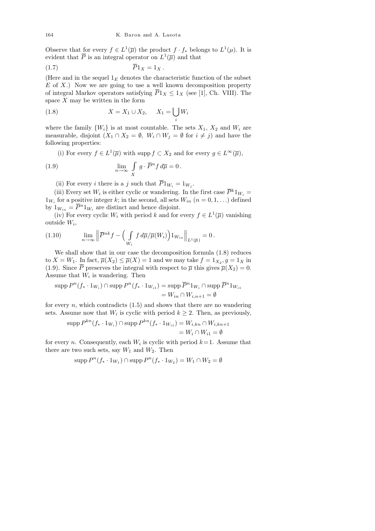Observe that for every  $f \in L^1(\overline{\mu})$  the product  $f \cdot f_*$  belongs to  $L^1(\mu)$ . It is evident that  $\overline{P}$  is an integral operator on  $L^1(\overline{\mu})$  and that

$$
\overline{P}1_X = 1_X.
$$

(Here and in the sequel  $1<sub>E</sub>$  denotes the characteristic function of the subset  $E$  of  $X$ .) Now we are going to use a well known decomposition property of integral Markov operators satisfying  $\overline{P}1_X \leq 1_X$  (see [1], Ch. VIII). The space  $X$  may be written in the form

(1.8) 
$$
X = X_1 \cup X_2, \quad X_1 = \bigcup_i W_i
$$

where the family  $\{W_i\}$  is at most countable. The sets  $X_1, X_2$  and  $W_i$  are measurable, disjoint  $(X_1 \cap X_2 = \emptyset, W_i \cap W_j = \emptyset$  for  $i \neq j$  and have the following properties:

(i) For every  $f \in L^1(\overline{\mu})$  with supp  $f \subset X_2$  and for every  $g \in L^{\infty}(\overline{\mu})$ ,

(1.9) 
$$
\lim_{n \to \infty} \int_{X} g \cdot \overline{P}^{n} f d\overline{\mu} = 0.
$$

(ii) For every *i* there is a *j* such that  $P1_{W_i} = 1_{W_j}$ .

(iii) Every set  $W_i$  is either cyclic or wandering. In the first case  $\overline{P}^k 1_{W_i} =$  $1_{W_i}$  for a positive integer k; in the second, all sets  $W_{in}$   $(n = 0, 1, ...)$  defined by  $1_{W_{in}} = \overline{P}^{n} 1_{W_i}$  are distinct and hence disjoint.

(iv) For every cyclic  $W_i$  with period k and for every  $f \in L^1(\overline{\mu})$  vanishing  $_{\text{outside }W_i,}$ 

(1.10) 
$$
\lim_{n \to \infty} \left\| \overline{P}^{nk} f - \left( \int\limits_{W_i} f d\overline{\mu}/\overline{\mu}(W_i) \right) 1_{W_{in}} \right\|_{L^1(\overline{\mu})} = 0.
$$

We shall show that in our case the decomposition formula (1.8) reduces to  $X = W_1$ . In fact,  $\overline{\mu}(X_2) \le \overline{\mu}(X) = 1$  and we may take  $f = 1_{X_2}, g = 1_X$  in (1.9). Since  $\overline{P}$  preserves the integral with respect to  $\overline{\mu}$  this gives  $\overline{\mu}(X_2) = 0$ . Assume that  $W_i$  is wandering. Then

$$
\operatorname{supp} P^n(f_* \cdot 1_{W_i}) \cap \operatorname{supp} P^n(f_* \cdot 1_{W_{i1}}) = \operatorname{supp} \overline{P}^n 1_{W_i} \cap \operatorname{supp} \overline{P}^n 1_{W_{i1}}
$$

$$
= W_{in} \cap W_{i,n+1} = \emptyset
$$

for every  $n$ , which contradicts  $(1.5)$  and shows that there are no wandering sets. Assume now that  $W_i$  is cyclic with period  $k \geq 2$ . Then, as previously,

$$
\operatorname{supp} P^{kn}(f_* \cdot 1_{W_i}) \cap \operatorname{supp} P^{kn}(f_* \cdot 1_{W_{i1}}) = W_{i,kn} \cap W_{i,kn+1}
$$

$$
= W_i \cap W_{i1} = \emptyset
$$

for every *n*. Consequently, each  $W_i$  is cyclic with period  $k = 1$ . Assume that there are two such sets, say  $W_1$  and  $W_2$ . Then

$$
\operatorname{supp} P^n(f_* \cdot 1_{W_1}) \cap \operatorname{supp} P^n(f_* \cdot 1_{W_2}) = W_1 \cap W_2 = \emptyset
$$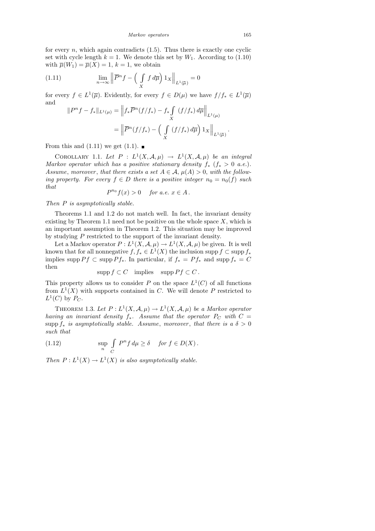for every  $n$ , which again contradicts  $(1.5)$ . Thus there is exactly one cyclic set with cycle length  $k = 1$ . We denote this set by  $W_1$ . According to (1.10) with  $\overline{\mu}(W_1) = \overline{\mu}(X) = 1, k = 1$ , we obtain

(1.11) 
$$
\lim_{n \to \infty} \left\| \overline{P}^n f - \left( \int \limits_X f \, d\overline{\mu} \right) 1_X \right\|_{L^1(\overline{\mu})} = 0
$$

for every  $f \in L^1(\overline{\mu})$ . Evidently, for every  $f \in D(\mu)$  we have  $f/f_* \in L^1(\overline{\mu})$ and  $\overline{\mathbf{u}}$ R

$$
||P^n f - f_*||_{L^1(\mu)} = ||f_* \overline{P}^n(f/f_*) - f_* \int_X (f/f_*) d\overline{\mu}||_{L^1(\mu)}
$$
  
= 
$$
||\overline{P}^n(f/f_*) - \left(\int_X (f/f_*) d\overline{\mu}\right) 1_X||_{L^1(\overline{\mu})}
$$

From this and  $(1.11)$  we get  $(1.1)$ .

COROLLARY 1.1. Let  $P : L^1(X, \mathcal{A}, \mu) \to L^1(X, \mathcal{A}, \mu)$  be an integral Markov operator which has a positive stationary density  $f_*$   $(f_* > 0 \text{ a.e.}).$ Assume, moreover, that there exists a set  $A \in \mathcal{A}$ ,  $\mu(A) > 0$ , with the following property. For every  $f \in D$  there is a positive integer  $n_0 = n_0(f)$  such that

$$
P^{n_0}f(x) > 0 \quad \text{for a.e. } x \in A.
$$

Then P is asymptotically stable.

Theorems 1.1 and 1.2 do not match well. In fact, the invariant density existing by Theorem 1.1 need not be positive on the whole space  $X$ , which is an important assumption in Theorem 1.2. This situation may be improved by studying P restricted to the support of the invariant density.

Let a Markov operator  $P: L^1(X, \mathcal{A}, \mu) \to L^1(X, \mathcal{A}, \mu)$  be given. It is well known that for all nonnegative  $f, f_* \in L^1(X)$  the inclusion supp  $f \subset \text{supp } f_*$ implies supp  $P f \subset \text{supp } P f_*$ . In particular, if  $f_* = P f_*$  and supp  $f_* = C$ then

$$
supp f \subset C \quad implies \quad supp \, Pf \subset C \, .
$$

This property allows us to consider P on the space  $L^1(C)$  of all functions from  $L^1(X)$  with supports contained in C. We will denote P restricted to  $L^1(C)$  by  $P_C$ .

THEOREM 1.3. Let  $P: L^1(X, \mathcal{A}, \mu) \to L^1(X, \mathcal{A}, \mu)$  be a Markov operator having an invariant density  $f_*$ . Assume that the operator  $P_C$  with  $C =$ supp  $f_*$  is asymptotically stable. Assume, moreover, that there is a  $\delta > 0$ such that

(1.12) 
$$
\sup_{n} \int_{C} P^{n} f d\mu \geq \delta \quad \text{for } f \in D(X).
$$

Then  $P: L^1(X) \to L^1(X)$  is also asymptotically stable.

.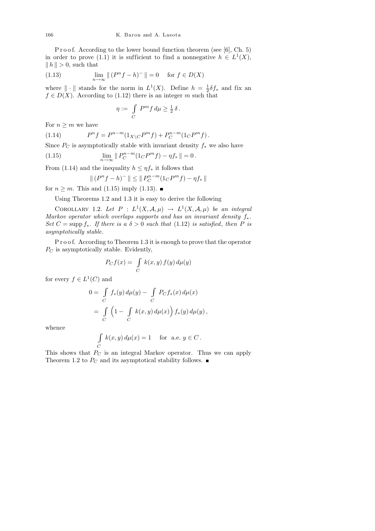P r o o f. According to the lower bound function theorem (see  $[6]$ , Ch. 5) in order to prove (1.1) it is sufficient to find a nonnegative  $h \in L^1(X)$ ,  $||h|| > 0$ , such that

(1.13) 
$$
\lim_{n \to \infty} || (P^n f - h)^- || = 0 \quad \text{for } f \in D(X)
$$

where  $\|\cdot\|$  stands for the norm in  $L^1(X)$ . Define  $h = \frac{1}{2}$  $\frac{1}{2}\delta f_*$  and fix an  $f \in D(X)$ . According to (1.12) there is an integer m such that

$$
\eta := \int\limits_C P^m f \, d\mu \ge \frac{1}{2} \, \delta \, .
$$

For  $n \geq m$  we have

(1.14) 
$$
P^{n} f = P^{n-m} (1_{X \setminus C} P^{m} f) + P^{n-m} (1_{C} P^{m} f).
$$

Since  $P_C$  is asymptotically stable with invariant density  $f_*$  we also have

(1.15) 
$$
\lim_{n \to \infty} \| P_C^{n-m} (1_C P^m f) - \eta f_* \| = 0.
$$

From (1.14) and the inequality  $h \leq \eta f_*$  it follows that

$$
\Vert (P^nf-h)^-\Vert \leq \Vert P^{n-m}_C(1_C P^mf)-\eta f_*\Vert
$$

for  $n \geq m$ . This and (1.15) imply (1.13).

Using Theorems 1.2 and 1.3 it is easy to derive the following

COROLLARY 1.2. Let  $P: L^1(X, \mathcal{A}, \mu) \to L^1(X, \mathcal{A}, \mu)$  be an integral Markov operator which overlaps supports and has an invariant density  $f_*$ . Set  $C = \text{supp } f_*$ . If there is a  $\delta > 0$  such that (1.12) is satisfied, then P is asymptotically stable.

P r o o f. According to Theorem 1.3 it is enough to prove that the operator  $P_C$  is asymptotically stable. Evidently,

$$
P_C f(x) = \int_C k(x, y) f(y) d\mu(y)
$$

for every  $f \in L^1(C)$  and

$$
0 = \int_{C} f_*(y) d\mu(y) - \int_{C} P_C f_*(x) d\mu(x)
$$
  
= 
$$
\int_{C} \left(1 - \int_{C} k(x, y) d\mu(x)\right) f_*(y) d\mu(y),
$$

whence

$$
\int_C k(x, y) d\mu(x) = 1 \quad \text{for a.e. } y \in C.
$$

This shows that  $P_C$  is an integral Markov operator. Thus we can apply Theorem 1.2 to  $P_C$  and its asymptotical stability follows.  $\blacksquare$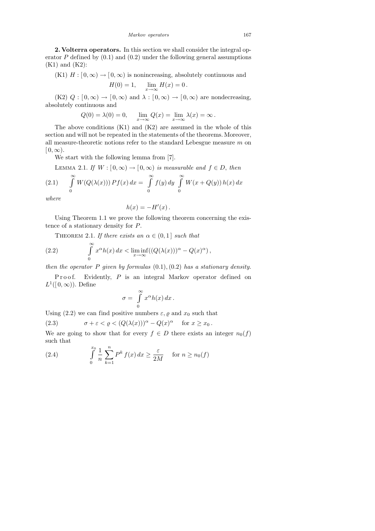2. Volterra operators. In this section we shall consider the integral operator  $P$  defined by  $(0.1)$  and  $(0.2)$  under the following general assumptions (K1) and (K2):

(K1)  $H : [0, \infty) \to [0, \infty)$  is nonincreasing, absolutely continuous and

$$
H(0) = 1, \quad \lim_{x \to \infty} H(x) = 0.
$$

 $(K2)$   $Q : [0, \infty) \to [0, \infty)$  and  $\lambda : [0, \infty) \to [0, \infty)$  are nondecreasing, absolutely continuous and

$$
Q(0) = \lambda(0) = 0
$$
,  $\lim_{x \to \infty} Q(x) = \lim_{x \to \infty} \lambda(x) = \infty$ .

The above conditions (K1) and (K2) are assumed in the whole of this section and will not be repeated in the statements of the theorems. Moreover, all measure-theoretic notions refer to the standard Lebesgue measure  $m$  on  $[0, \infty)$ .

We start with the following lemma from [7].

LEMMA 2.1. If  $W : [0, \infty) \to [0, \infty)$  is measurable and  $f \in D$ , then

(2.1) 
$$
\int_{0}^{\infty} W(Q(\lambda(x))) Pf(x) dx = \int_{0}^{\infty} f(y) dy \int_{0}^{\infty} W(x + Q(y)) h(x) dx
$$

where

$$
h(x) = -H'(x) \, .
$$

Using Theorem 1.1 we prove the following theorem concerning the existence of a stationary density for P.

THEOREM 2.1. If there exists an  $\alpha \in (0,1]$  such that

(2.2) 
$$
\int_{0}^{\infty} x^{\alpha} h(x) dx < \liminf_{x \to \infty} ((Q(\lambda(x)))^{\alpha} - Q(x)^{\alpha}),
$$

then the operator P given by formulas  $(0.1), (0.2)$  has a stationary density.

P r o o f. Evidently,  $P$  is an integral Markov operator defined on  $L^1([0,\infty))$ . Define

$$
\sigma = \int\limits_0^\infty x^\alpha h(x)\,dx\,.
$$

Using (2.2) we can find positive numbers  $\varepsilon$ ,  $\varrho$  and  $x_0$  such that

(2.3) 
$$
\sigma + \varepsilon < \varrho < \left(Q(\lambda(x))\right)^{\alpha} - Q(x)^{\alpha} \quad \text{for } x \geq x_0.
$$

We are going to show that for every  $f \in D$  there exists an integer  $n_0(f)$ such that

(2.4) 
$$
\int_{0}^{x_0} \frac{1}{n} \sum_{k=1}^{n} P^k f(x) dx \ge \frac{\varepsilon}{2M} \quad \text{for } n \ge n_0(f)
$$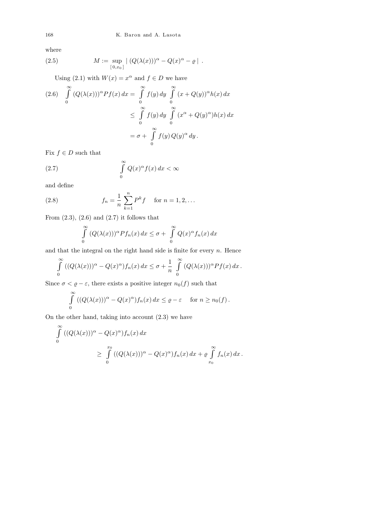where

(2.5) 
$$
M := \sup_{[0,x_0]} | (Q(\lambda(x)))^{\alpha} - Q(x)^{\alpha} - \varrho |.
$$

Using (2.1) with  $W(x) = x^{\alpha}$  and  $f \in D$  we have

$$
(2.6) \int_{0}^{\infty} (Q(\lambda(x)))^{\alpha} Pf(x) dx = \int_{0}^{\infty} f(y) dy \int_{0}^{\infty} (x + Q(y))^{\alpha} h(x) dx
$$
  

$$
\leq \int_{0}^{\infty} f(y) dy \int_{0}^{\infty} (x^{\alpha} + Q(y)^{\alpha}) h(x) dx
$$
  

$$
= \sigma + \int_{0}^{\infty} f(y) Q(y)^{\alpha} dy.
$$

Fix  $f \in D$  such that

(2.7) 
$$
\int_{0}^{\infty} Q(x)^{\alpha} f(x) dx < \infty
$$

and define

(2.8) 
$$
f_n = \frac{1}{n} \sum_{k=1}^n P^k f \quad \text{for } n = 1, 2, ...
$$

From  $(2.3)$ ,  $(2.6)$  and  $(2.7)$  it follows that

$$
\int_{0}^{\infty} (Q(\lambda(x)))^{\alpha} P f_n(x) dx \leq \sigma + \int_{0}^{\infty} Q(x)^{\alpha} f_n(x) dx
$$

and that the integral on the right hand side is finite for every  $n$ . Hence

$$
\int_{0}^{\infty} \left( (Q(\lambda(x)))^{\alpha} - Q(x)^{\alpha} \right) f_n(x) \, dx \le \sigma + \frac{1}{n} \int_{0}^{\infty} \left( Q(\lambda(x)) \right)^{\alpha} Pf(x) \, dx \, .
$$

Since  $\sigma < \varrho - \varepsilon$ , there exists a positive integer  $n_0(f)$  such that

$$
\int_{0}^{\infty} \left( (Q(\lambda(x)))^{\alpha} - Q(x)^{\alpha} \right) f_n(x) \, dx \leq \varrho - \varepsilon \quad \text{ for } n \geq n_0(f) \, .
$$

On the other hand, taking into account (2.3) we have

$$
\int_{0}^{\infty} ((Q(\lambda(x)))^{\alpha} - Q(x)^{\alpha}) f_n(x) dx
$$
\n
$$
\geq \int_{0}^{x_0} ((Q(\lambda(x)))^{\alpha} - Q(x)^{\alpha}) f_n(x) dx + \varrho \int_{x_0}^{\infty} f_n(x) dx.
$$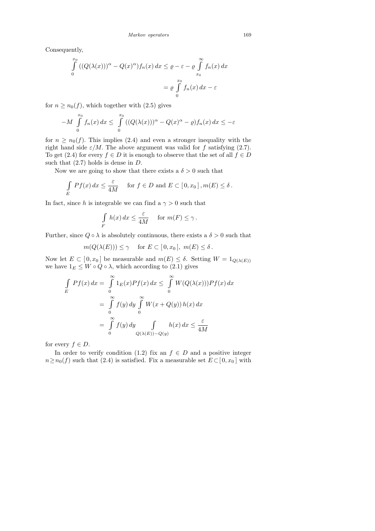Consequently,

$$
\int_{0}^{x_0} ((Q(\lambda(x)))^{\alpha} - Q(x)^{\alpha}) f_n(x) dx \le \varrho - \varepsilon - \varrho \int_{x_0}^{\infty} f_n(x) dx
$$

$$
= \varrho \int_{0}^{x_0} f_n(x) dx - \varepsilon
$$

for  $n \geq n_0(f)$ , which together with  $(2.5)$  gives

$$
-M\int_{0}^{x_0} f_n(x) dx \leq \int_{0}^{x_0} ((Q(\lambda(x)))^{\alpha} - Q(x)^{\alpha} - \varrho) f_n(x) dx \leq -\varepsilon
$$

for  $n \geq n_0(f)$ . This implies (2.4) and even a stronger inequality with the right hand side  $\varepsilon/M$ . The above argument was valid for f satisfying (2.7). To get (2.4) for every  $f \in D$  it is enough to observe that the set of all  $f \in D$ such that  $(2.7)$  holds is dense in D.

Now we are going to show that there exists a  $\delta > 0$  such that

$$
\int_{E} Pf(x) dx \leq \frac{\varepsilon}{4M} \quad \text{for } f \in D \text{ and } E \subset [0, x_0], m(E) \leq \delta.
$$

In fact, since h is integrable we can find a  $\gamma > 0$  such that

$$
\int\limits_F h(x) dx \leq \frac{\varepsilon}{4M} \quad \text{ for } m(F) \leq \gamma.
$$

Further, since  $Q \circ \lambda$  is absolutely continuous, there exists a  $\delta > 0$  such that

$$
m(Q(\lambda(E))) \le \gamma
$$
 for  $E \subset [0, x_0], m(E) \le \delta$ .

Now let  $E \subset [0, x_0]$  be measurable and  $m(E) \leq \delta$ . Setting  $W = 1_{Q(\lambda(E))}$ we have  $1_E \leq W \circ Q \circ \lambda$ , which according to (2.1) gives

$$
\int_{E} Pf(x) dx = \int_{0}^{\infty} 1_{E}(x)Pf(x) dx \leq \int_{0}^{\infty} W(Q(\lambda(x)))Pf(x) dx
$$

$$
= \int_{0}^{\infty} f(y) dy \int_{0}^{\infty} W(x + Q(y)) h(x) dx
$$

$$
= \int_{0}^{\infty} f(y) dy \int_{Q(\lambda(E)) - Q(y)} h(x) dx \leq \frac{\varepsilon}{4M}
$$

for every  $f \in D$ .

In order to verify condition (1.2) fix an  $f \in D$  and a positive integer  $n \ge n_0(f)$  such that (2.4) is satisfied. Fix a measurable set  $E \subset [0, x_0]$  with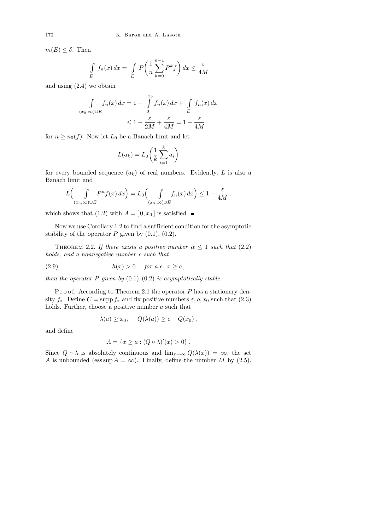$m(E) \leq \delta$ . Then

$$
\int\limits_E f_n(x) dx = \int\limits_E P\left(\frac{1}{n}\sum_{k=0}^{n-1} P^k f\right) dx \le \frac{\varepsilon}{4M}
$$

and using (2.4) we obtain

$$
\int_{(x_0,\infty)\cup E} f_n(x) dx = 1 - \int_{0}^{x_0} f_n(x) dx + \int_{E} f_n(x) dx
$$

$$
\leq 1 - \frac{\varepsilon}{2M} + \frac{\varepsilon}{4M} = 1 - \frac{\varepsilon}{4M}
$$

for  $n \geq n_0(f)$ . Now let  $L_0$  be a Banach limit and let

$$
L(a_k) = L_0 \left(\frac{1}{k} \sum_{i=1}^k a_i\right)
$$

for every bounded sequence  $(a_k)$  of real numbers. Evidently, L is also a Banach limit and

$$
L\left(\int\limits_{(x_0,\infty)\cup E} P^n f(x) dx\right) = L_0\left(\int\limits_{(x_0,\infty)\cup E} f_n(x) dx\right) \leq 1 - \frac{\varepsilon}{4M},
$$

which shows that (1.2) with  $A = [0, x_0]$  is satisfied.

Now we use Corollary 1.2 to find a sufficient condition for the asymptotic stability of the operator  $P$  given by  $(0.1)$ ,  $(0.2)$ .

THEOREM 2.2. If there exists a positive number  $\alpha \leq 1$  such that (2.2) holds, and a nonnegative number c such that

$$
(2.9) \t\t\t h(x) > 0 \t\t for a.e. x \ge c,
$$

then the operator  $P$  given by  $(0.1), (0.2)$  is asymptotically stable.

P r o o f. According to Theorem 2.1 the operator  $P$  has a stationary density  $f_*$ . Define  $C = \text{supp } f_*$  and fix positive numbers  $\varepsilon, \varrho, x_0$  such that  $(2.3)$ holds. Further, choose a positive number  $a$  such that

$$
\lambda(a) \ge x_0, \quad Q(\lambda(a)) \ge c + Q(x_0),
$$

and define

$$
A = \{x \ge a : (Q \circ \lambda)'(x) > 0\}.
$$

Since  $Q \circ \lambda$  is absolutely continuous and  $\lim_{x\to\infty} Q(\lambda(x)) = \infty$ , the set A is unbounded (ess sup  $A = \infty$ ). Finally, define the number M by (2.5).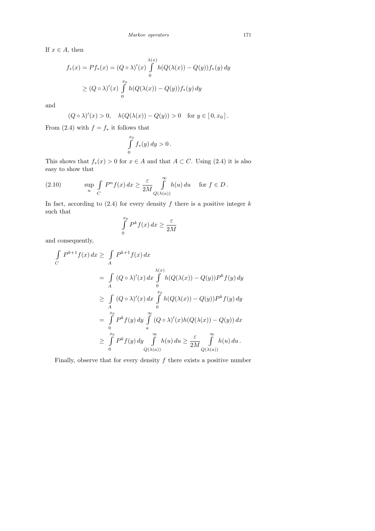If  $x \in A$ , then

$$
f_*(x) = Pf_*(x) = (Q \circ \lambda)'(x) \int_0^{\lambda(x)} h(Q(\lambda(x)) - Q(y)) f_*(y) dy
$$
  
\n
$$
\geq (Q \circ \lambda)'(x) \int_0^{x_0} h(Q(\lambda(x)) - Q(y)) f_*(y) dy
$$

and

$$
(Q \circ \lambda)'(x) > 0, \quad h(Q(\lambda(x)) - Q(y)) > 0 \quad \text{for } y \in [0, x_0].
$$

From (2.4) with  $f = f_*$  it follows that

$$
\int\limits_0^{x_0} f_*(y)\,dy > 0\,.
$$

This shows that  $f_*(x) > 0$  for  $x \in A$  and that  $A \subset C$ . Using (2.4) it is also easy to show that

(2.10) 
$$
\sup_{n} \int_{C} P^{n} f(x) dx \geq \frac{\varepsilon}{2M} \int_{Q(\lambda(a))}^{\infty} h(u) du \quad \text{for } f \in D.
$$

In fact, according to  $(2.4)$  for every density f there is a positive integer k such that

$$
\int\limits_0^{x_0} P^k f(x) \, dx \geq \frac{\varepsilon}{2M}
$$

and consequently,

$$
\int_{C} P^{k+1} f(x) dx \ge \int_{A} P^{k+1} f(x) dx
$$
\n
$$
= \int_{A} (Q \circ \lambda)'(x) dx \int_{0}^{\lambda(x)} h(Q(\lambda(x)) - Q(y))P^{k} f(y) dy
$$
\n
$$
\ge \int_{A} (Q \circ \lambda)'(x) dx \int_{0}^{x_0} h(Q(\lambda(x)) - Q(y))P^{k} f(y) dy
$$
\n
$$
= \int_{0}^{x_0} P^{k} f(y) dy \int_{a}^{\infty} (Q \circ \lambda)'(x)h(Q(\lambda(x)) - Q(y)) dx
$$
\n
$$
\ge \int_{0}^{x_0} P^{k} f(y) dy \int_{Q(\lambda(a))}^{\infty} h(u) du \ge \frac{\varepsilon}{2M} \int_{Q(\lambda(a))}^{\infty} h(u) du.
$$

Finally, observe that for every density  $f$  there exists a positive number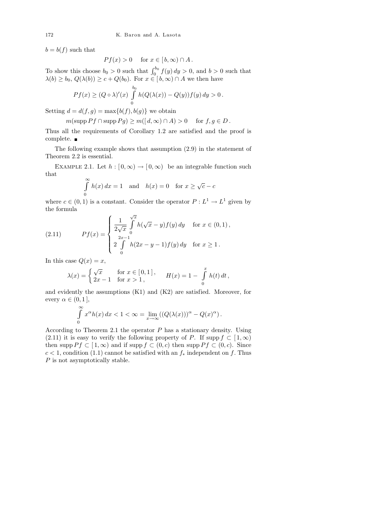$b = b(f)$  such that

$$
Pf(x) > 0 \quad \text{ for } x \in [b, \infty) \cap A.
$$

To show this choose  $b_0 > 0$  such that  $\int_0^{b_0} f(y) dy > 0$ , and  $b > 0$  such that  $\lambda(b) \ge b_0, Q(\lambda(b)) \ge c + Q(b_0).$  For  $x \in [b, \infty) \cap A$  we then have

$$
Pf(x) \ge (Q \circ \lambda)'(x) \int_{0}^{b_0} h(Q(\lambda(x)) - Q(y))f(y) dy > 0.
$$

Setting  $d = d(f, g) = \max\{b(f), b(g)\}\$  we obtain

$$
m(\text{supp }Pf \cap \text{supp }Pg) \ge m([d,\infty) \cap A) > 0 \quad \text{for } f,g \in D.
$$

Thus all the requirements of Corollary 1.2 are satisfied and the proof is complete.

The following example shows that assumption (2.9) in the statement of Theorem 2.2 is essential.

EXAMPLE 2.1. Let  $h : [0, \infty) \to [0, \infty)$  be an integrable function such that

$$
\int_{0}^{\infty} h(x) dx = 1 \text{ and } h(x) = 0 \text{ for } x \ge \sqrt{c} - c
$$

where  $c \in (0,1)$  is a constant. Consider the operator  $P: L^1 \to L^1$  given by the formula √

(2.11) 
$$
Pf(x) = \begin{cases} \frac{1}{2\sqrt{x}} \int_{0}^{\sqrt{x}} h(\sqrt{x} - y)f(y) dy & \text{for } x \in (0, 1), \\ 2 \int_{0}^{2x - 1} h(2x - y - 1)f(y) dy & \text{for } x \ge 1. \end{cases}
$$

In this case  $Q(x) = x$ ,

$$
\lambda(x) = \begin{cases} \sqrt{x} & \text{for } x \in [0,1], \\ 2x - 1 & \text{for } x > 1, \end{cases} \qquad H(x) = 1 - \int_{0}^{x} h(t) dt,
$$

and evidently the assumptions (K1) and (K2) are satisfied. Moreover, for every  $\alpha \in (0,1],$ 

$$
\int_{0}^{\infty} x^{\alpha} h(x) dx < 1 < \infty = \lim_{x \to \infty} ((Q(\lambda(x)))^{\alpha} - Q(x)^{\alpha}).
$$

According to Theorem 2.1 the operator  $P$  has a stationary density. Using (2.11) it is easy to verify the following property of P. If supp  $f \subset [1,\infty)$ then supp  $P f \subset [1,\infty)$  and if supp  $f \subset (0,c)$  then supp  $P f \subset (0,c)$ . Since  $c < 1$ , condition (1.1) cannot be satisfied with an  $f_*$  independent on f. Thus P is not asymptotically stable.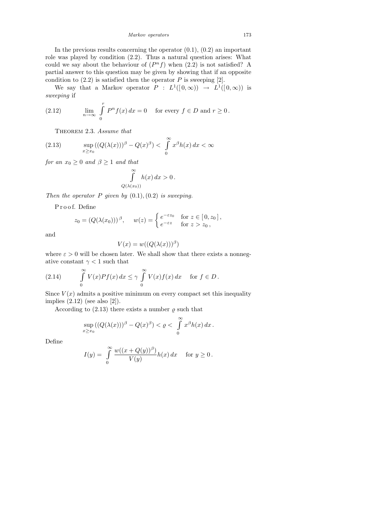In the previous results concerning the operator  $(0.1)$ ,  $(0.2)$  an important role was played by condition (2.2). Thus a natural question arises: What could we say about the behaviour of  $(P^n f)$  when  $(2.2)$  is not satisfied? A partial answer to this question may be given by showing that if an opposite condition to  $(2.2)$  is satisfied then the operator P is sweeping [2].

We say that a Markov operator  $P : L^1([0,\infty)) \to L^1([0,\infty))$  is sweeping if

(2.12) 
$$
\lim_{n \to \infty} \int_{0}^{r} P^{n} f(x) dx = 0 \quad \text{for every } f \in D \text{ and } r \ge 0.
$$

THEOREM 2.3. Assume that

(2.13) 
$$
\sup_{x \ge x_0} ((Q(\lambda(x)))^{\beta} - Q(x)^{\beta}) < \int_0^{\infty} x^{\beta} h(x) dx < \infty
$$

for an  $x_0 \geq 0$  and  $\beta \geq 1$  and that

$$
\int_{Q(\lambda(x_0))}^{\infty} h(x) dx > 0.
$$

Then the operator  $P$  given by  $(0.1), (0.2)$  is sweeping.

P r o o f. Define

$$
z_0 = (Q(\lambda(x_0)))^\beta, \quad w(z) = \begin{cases} e^{-\varepsilon z_0} & \text{for } z \in [0, z_0], \\ e^{-\varepsilon z} & \text{for } z > z_0, \end{cases}
$$

and

$$
V(x) = w((Q(\lambda(x)))^{\beta})
$$

where  $\varepsilon > 0$  will be chosen later. We shall show that there exists a nonnegative constant  $\gamma$  < 1 such that

(2.14) 
$$
\int_{0}^{\infty} V(x)Pf(x) dx \leq \gamma \int_{0}^{\infty} V(x)f(x) dx \quad \text{for } f \in D.
$$

Since  $V(x)$  admits a positive minimum on every compact set this inequality implies  $(2.12)$  (see also  $[2]$ ).

According to  $(2.13)$  there exists a number  $\rho$  such that

$$
\sup_{x\geq x_0} ((Q(\lambda(x)))^{\beta}-Q(x)^{\beta})<\varrho<\int\limits_0^{\infty}x^{\beta}h(x)\,dx.
$$

Define

$$
I(y) = \int_{0}^{\infty} \frac{w((x+Q(y))^{\beta})}{V(y)} h(x) dx \quad \text{for } y \ge 0.
$$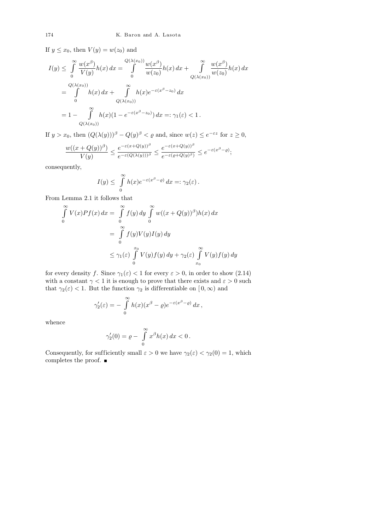If  $y \leq x_0$ , then  $V(y) = w(z_0)$  and

$$
I(y) \leq \int_{0}^{\infty} \frac{w(x^{\beta})}{V(y)} h(x) dx = \int_{0}^{Q(\lambda(x_0))} \frac{w(x^{\beta})}{w(z_0)} h(x) dx + \int_{Q(\lambda(x_0))}^{\infty} \frac{w(x^{\beta})}{w(z_0)} h(x) dx
$$
  
= 
$$
\int_{0}^{Q(\lambda(x_0))} h(x) dx + \int_{Q(\lambda(x_0))}^{\infty} h(x) e^{-\varepsilon(x^{\beta} - z_0)} dx
$$
  
= 
$$
1 - \int_{Q(\lambda(x_0))}^{\infty} h(x) (1 - e^{-\varepsilon(x^{\beta} - z_0)}) dx =: \gamma_1(\varepsilon) < 1.
$$

If  $y > x_0$ , then  $(Q(\lambda(y)))^{\beta} - Q(y)^{\beta} < \varrho$  and, since  $w(z) \le e^{-\varepsilon z}$  for  $z \ge 0$ ,

$$
\frac{w((x+Q(y))^{\beta})}{V(y)} \leq \frac{e^{-\varepsilon(x+Q(y))^{\beta}}}{e^{-\varepsilon(Q(\lambda(y)))^{\beta}}} \leq \frac{e^{-\varepsilon(x+Q(y))^{\beta}}}{e^{-\varepsilon(\varrho+Q(y)^{\beta})}} \leq e^{-\varepsilon(x^{\beta}-\varrho)};
$$

consequently,

$$
I(y) \leq \int_{0}^{\infty} h(x)e^{-\varepsilon(x^{\beta}-\varrho)} dx =: \gamma_2(\varepsilon).
$$

From Lemma 2.1 it follows that

$$
\int_{0}^{\infty} V(x)Pf(x) dx = \int_{0}^{\infty} f(y) dy \int_{0}^{\infty} w((x + Q(y))^{\beta})h(x) dx
$$
  

$$
= \int_{0}^{\infty} f(y)V(y)I(y) dy
$$
  

$$
\leq \gamma_{1}(\varepsilon) \int_{0}^{x_{0}} V(y)f(y) dy + \gamma_{2}(\varepsilon) \int_{x_{0}}^{\infty} V(y)f(y) dy
$$

for every density f. Since  $\gamma_1(\varepsilon) < 1$  for every  $\varepsilon > 0$ , in order to show (2.14) with a constant  $\gamma < 1$  it is enough to prove that there exists and  $\varepsilon > 0$  such that  $\gamma_2(\varepsilon) < 1$ . But the function  $\gamma_2$  is differentiable on  $[0, \infty)$  and

$$
\gamma_2'(\varepsilon) = - \int_0^\infty h(x) (x^\beta - \varrho) e^{-\varepsilon (x^\beta - \varrho)} dx,
$$

whence

$$
\gamma_2'(0) = \varrho - \int\limits_0^\infty x^\beta h(x) \, dx < 0 \, .
$$

Consequently, for sufficiently small  $\varepsilon > 0$  we have  $\gamma_2(\varepsilon) < \gamma_2(0) = 1$ , which completes the proof. ■